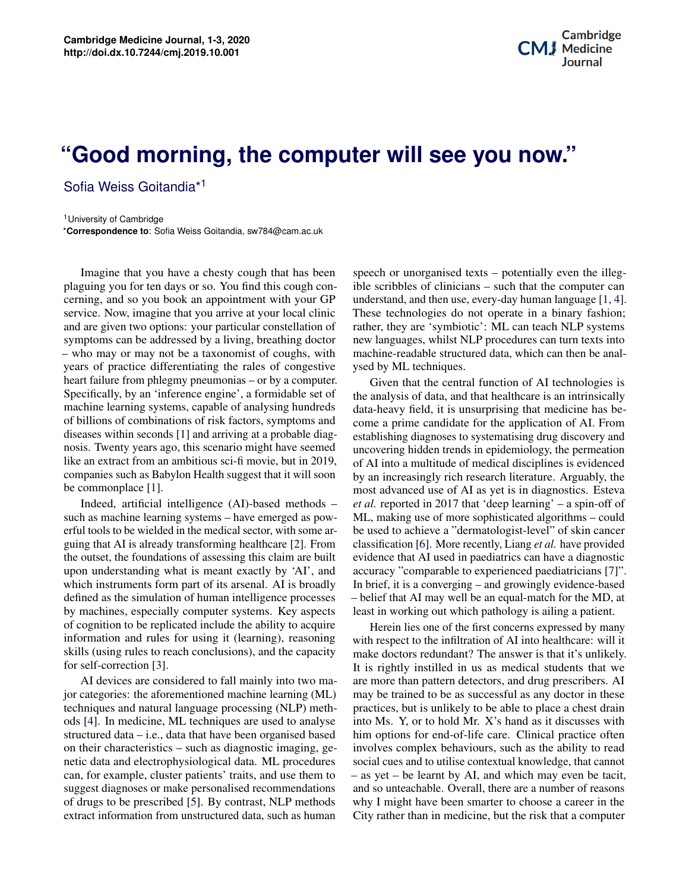## **Pood morning the computer will coo vou now**" **Biography** in Regenerative Medicine Medicine Medicine Medicine Medicine Medicine Medicine Medicine Medicine Medicine Medicine Medicine Medicine Medicine Medicine Medicine Medicine Medicine Medicine Medicine Medicine Medic **"Good morning, the computer will see you now."**

Sofia Weiss Goitandia\*<sup>1</sup>

<sup>1</sup> University of Cambridge \***Correspondence to**: Sofia Weiss Goitandia, sw784@cam.ac.uk

Imagine that you have a chesty cough that has been plaguing you for ten days or so. You find this cough concerning, and so you book an appointment with your GP service. Now, imagine that you arrive at your local clinic and are given two options: your particular constellation of symptoms can be addressed by a living, breathing doctor – who may or may not be a taxonomist of coughs, with years of practice differentiating the rales of congestive heart failure from phlegmy pneumonias – or by a computer. Specifically, by an 'inference engine', a formidable set of machine learning systems, capable of analysing hundreds of billions of combinations of risk factors, symptoms and diseases within seconds [\[1\]](#page-1-0) and arriving at a probable diagnosis. Twenty years ago, this scenario might have seemed like an extract from an ambitious sci-fi movie, but in 2019, companies such as Babylon Health suggest that it will soon be commonplace [\[1\]](#page-1-0).

Indeed, artificial intelligence (AI)-based methods – such as machine learning systems – have emerged as powerful tools to be wielded in the medical sector, with some arguing that AI is already transforming healthcare [\[2\]](#page-1-1). From the outset, the foundations of assessing this claim are built upon understanding what is meant exactly by 'AI', and which instruments form part of its arsenal. AI is broadly defined as the simulation of human intelligence processes by machines, especially computer systems. Key aspects of cognition to be replicated include the ability to acquire information and rules for using it (learning), reasoning skills (using rules to reach conclusions), and the capacity for self-correction [\[3\]](#page-1-2).

**Contents** AI devices are considered to fall mainly into two ma-**1 Background 1** techniques and natural language processing (NLP) meth-ods [\[4\]](#page-1-3). In medicine, ML techniques are used to analyse **3 Principles of Application**  $\overline{X}$ ,  $\overline{X}$  **Principles of Application**  $\overline{X}$  **2 Principles 2 Principles 4 Discussion 3** netic data and electrophysiological data. ML procedures eart, for example, enaster patients trans, and use them to<br>suggest diagnoses or make personalised recommendations of drugs to be prescribed [\[5\]](#page-1-4). By contrast, NLP methods extract information from unstructured data, such as human jor categories: the aforementioned machine learning (ML) structured data – i.e., data that have been organised based can, for example, cluster patients' traits, and use them to

 $P$  and  $P$  and  $P$  and  $P$  and  $P$  and  $P$  and  $P$  and  $P$  and  $P$  are dimensional  $P$  and  $P$  are dimensional  $P$  and  $P$  are dimensional  $P$  and  $P$  and  $P$  and  $P$  and  $P$  and  $P$  and  $P$  and  $P$  and  $P$  and  $P$  and speech or unorganised texts – potentially even the illegible scribbles of clinicians – such that the computer can understand, and then use, every-day human language [\[1,](#page-1-0) [4\]](#page-1-3). These technologies do not operate in a binary fashion; rather, they are 'symbiotic': ML can teach NLP systems new languages, whilst NLP procedures can turn texts into machine-readable structured data, which can then be analysed by ML techniques.

bicary<br>as be-<br>From  $\overline{a}$  belief that AI may well be an equal-match for the MD, at least in working out which pathology is ailing a patient Given that the central function of AI technologies is the analysis of data, and that healthcare is an intrinsically data-heavy field, it is unsurprising that medicine has become a prime candidate for the application of AI. From establishing diagnoses to systematising drug discovery and uncovering hidden trends in epidemiology, the permeation of AI into a multitude of medical disciplines is evidenced by an increasingly rich research literature. Arguably, the most advanced use of AI as yet is in diagnostics. Esteva *et al.* reported in 2017 that 'deep learning' – a spin-off of ML, making use of more sophisticated algorithms – could be used to achieve a "dermatologist-level" of skin cancer classification [\[6\]](#page-2-0). More recently, Liang *et al.* have provided evidence that AI used in paediatrics can have a diagnostic accuracy "comparable to experienced paediatricians [\[7\]](#page-2-1)". In brief, it is a converging – and growingly evidence-based least in working out which pathology is ailing a patient.

with respect to the infiltration of AI into healthcare: will it Fustly make doctors redundant? The answer is that it's univery.<br>It is rightly instilled in us as medical students that we are more than pattern detectors, and drug prescribers. AI neth-<br>practices, but is unlikely to be able to place a chest drain nalyse into Ms. Y, or to hold Mr. X's hand as it discusses with  $\frac{1}{2}$  hand  $\frac{1}{2}$  hand as it discusses with ing, ge- involves complex behaviours, such as the ability to read extual knowledge, that cannot<br>and which may even be tacit and so unteachable. Overall, there are a number of reasons ed to several famous which in the process spaces in the term is the process space. The term in the term in the<br>numan City rather than in medicine, but the risk that a computer (ML) may be trained to be as successful as any doctor in these based him options for end-of-life care. Clinical practice often edures social cues and to utilise contextual knowledge, that cannot  $\alpha$  = as yet – be learnt by AI, and which may even be tacit, thods why I might have been smarter to choose a career in the Herein lies one of the first concerns expressed by many make doctors redundant? The answer is that it's unlikely.

medicine, bioprinting is beginning to play a role in regener-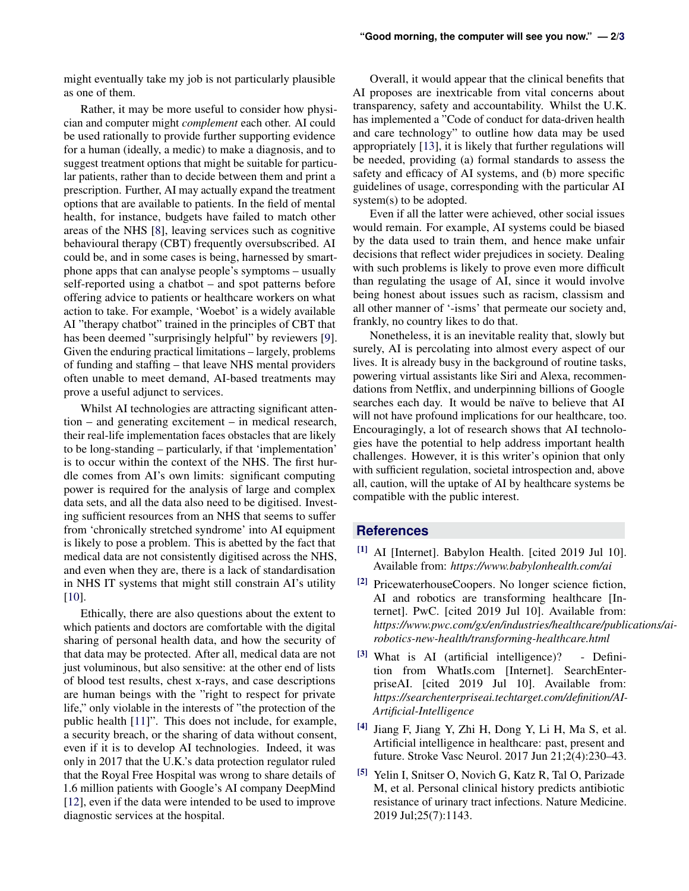might eventually take my job is not particularly plausible as one of them.

Rather, it may be more useful to consider how physician and computer might *complement* each other. AI could be used rationally to provide further supporting evidence for a human (ideally, a medic) to make a diagnosis, and to suggest treatment options that might be suitable for particular patients, rather than to decide between them and print a prescription. Further, AI may actually expand the treatment options that are available to patients. In the field of mental health, for instance, budgets have failed to match other areas of the NHS [\[8\]](#page-2-3), leaving services such as cognitive behavioural therapy (CBT) frequently oversubscribed. AI could be, and in some cases is being, harnessed by smartphone apps that can analyse people's symptoms – usually self-reported using a chatbot – and spot patterns before offering advice to patients or healthcare workers on what action to take. For example, 'Woebot' is a widely available AI "therapy chatbot" trained in the principles of CBT that has been deemed "surprisingly helpful" by reviewers [\[9\]](#page-2-4). Given the enduring practical limitations – largely, problems of funding and staffing – that leave NHS mental providers often unable to meet demand, AI-based treatments may prove a useful adjunct to services.

Whilst AI technologies are attracting significant attention – and generating excitement – in medical research, their real-life implementation faces obstacles that are likely to be long-standing – particularly, if that 'implementation' is to occur within the context of the NHS. The first hurdle comes from AI's own limits: significant computing power is required for the analysis of large and complex data sets, and all the data also need to be digitised. Investing sufficient resources from an NHS that seems to suffer from 'chronically stretched syndrome' into AI equipment is likely to pose a problem. This is abetted by the fact that medical data are not consistently digitised across the NHS, and even when they are, there is a lack of standardisation in NHS IT systems that might still constrain AI's utility [\[10\]](#page-2-5).

Ethically, there are also questions about the extent to which patients and doctors are comfortable with the digital sharing of personal health data, and how the security of that data may be protected. After all, medical data are not just voluminous, but also sensitive: at the other end of lists of blood test results, chest x-rays, and case descriptions are human beings with the "right to respect for private life," only violable in the interests of "the protection of the public health [\[11\]](#page-2-6)". This does not include, for example, a security breach, or the sharing of data without consent, even if it is to develop AI technologies. Indeed, it was only in 2017 that the U.K.'s data protection regulator ruled that the Royal Free Hospital was wrong to share details of 1.6 million patients with Google's AI company DeepMind [\[12\]](#page-2-7), even if the data were intended to be used to improve diagnostic services at the hospital.

Overall, it would appear that the clinical benefits that AI proposes are inextricable from vital concerns about transparency, safety and accountability. Whilst the U.K. has implemented a "Code of conduct for data-driven health and care technology" to outline how data may be used appropriately [\[13\]](#page-2-8), it is likely that further regulations will be needed, providing (a) formal standards to assess the safety and efficacy of AI systems, and (b) more specific guidelines of usage, corresponding with the particular AI system(s) to be adopted.

Even if all the latter were achieved, other social issues would remain. For example, AI systems could be biased by the data used to train them, and hence make unfair decisions that reflect wider prejudices in society. Dealing with such problems is likely to prove even more difficult than regulating the usage of AI, since it would involve being honest about issues such as racism, classism and all other manner of '-isms' that permeate our society and, frankly, no country likes to do that.

Nonetheless, it is an inevitable reality that, slowly but surely, AI is percolating into almost every aspect of our lives. It is already busy in the background of routine tasks, powering virtual assistants like Siri and Alexa, recommendations from Netflix, and underpinning billions of Google searches each day. It would be naïve to believe that AI will not have profound implications for our healthcare, too. Encouragingly, a lot of research shows that AI technologies have the potential to help address important health challenges. However, it is this writer's opinion that only with sufficient regulation, societal introspection and, above all, caution, will the uptake of AI by healthcare systems be compatible with the public interest.

## **References**

- <span id="page-1-0"></span>[1] AI [Internet]. Babylon Health. [cited 2019 Jul 10]. Available from: *https://www.babylonhealth.com/ai*
- <span id="page-1-1"></span>[2] PricewaterhouseCoopers. No longer science fiction, AI and robotics are transforming healthcare [Internet]. PwC. [cited 2019 Jul 10]. Available from: *https://www.pwc.com/gx/en/industries/healthcare/publications/airobotics-new-health/transforming-healthcare.html*
- <span id="page-1-2"></span>[3] What is AI (artificial intelligence)? - Definition from WhatIs.com [Internet]. SearchEnterpriseAI. [cited 2019 Jul 10]. Available from: *https://searchenterpriseai.techtarget.com/definition/AI-Artificial-Intelligence*
- <span id="page-1-3"></span>[4] Jiang F, Jiang Y, Zhi H, Dong Y, Li H, Ma S, et al. Artificial intelligence in healthcare: past, present and future. Stroke Vasc Neurol. 2017 Jun 21;2(4):230–43.
- <span id="page-1-4"></span>[5] Yelin I, Snitser O, Novich G, Katz R, Tal O, Parizade M, et al. Personal clinical history predicts antibiotic resistance of urinary tract infections. Nature Medicine. 2019 Jul;25(7):1143.